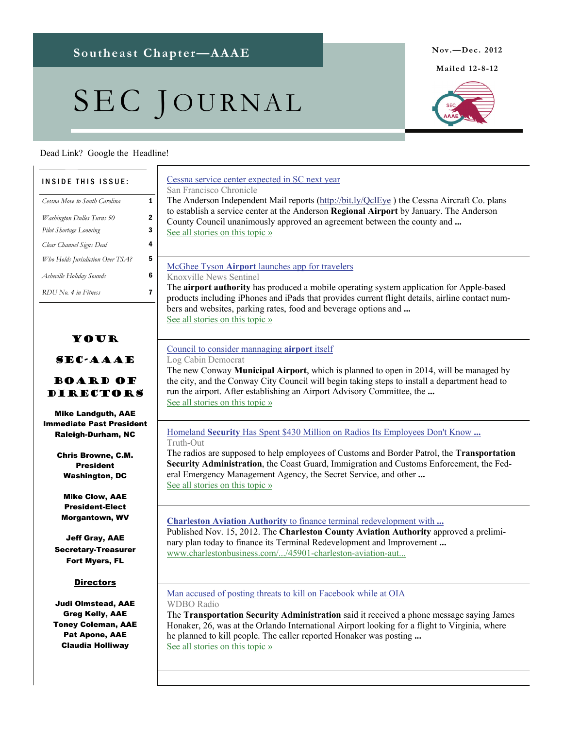# SEC JOURNAL

**Mailed 12-8-12** 



#### Dead Link? Google the Headline!

#### Your SEC-AAAE Board of Directors Mike Landguth, AAE Immediate Past President Raleigh-Durham, NC Chris Browne, C.M. President Washington, DC Mike Clow, AAE President-Elect Morgantown, WV Jeff Gray, AAE Secretary-Treasurer Fort Myers, FL **Directors** Judi Olmstead, AAE Greg Kelly, AAE Toney Coleman, AAE Pat Apone, AAE Claudia Holliway INSIDE THIS ISSUE: *Cessna Move to South Carolina* **1** *Washington Dulles Turns 50* 2 *Pilot Shortage Looming* 3 *Clear Channel Signs Deal* 4 *Who Holds Jurisdiction Over TSA?* 5 *Asheville Holiday Sounds* 6 *RDU No. 4 in Fitness* 7 [Cessna service center expected in SC next year](http://www.google.com/url?sa=X&q=http://www.sfgate.com/news/article/Cessna-service-center-expected-in-SC-next-year-4060964.php&ct=ga&cad=CAEQARgAIAAoATAAOABA9IW_hQVIAVAAWABiAmVu&cd=FghwEJdxlpE&usg=AFQjCNHZSRhvh9gYGVFeKFaOqTwTN-Yw9A) San Francisco Chronicle The Anderson Independent Mail reports (http://bit.ly/QclEye) the Cessna Aircraft Co. plans to establish a service center at the Anderson **Regional Airport** by January. The Anderson County Council unanimously approved an agreement between the county and **...** [See all stories on this topic »](http://www.google.com/url?sa=X&q=http://news.google.com/news/story%3Fncl%3Dhttp://www.sfgate.com/news/article/Cessna-service-center-expected-in-SC-next-year-4060964.php%26hl%3Den%26geo%3Dus&ct=ga&cad=CAEQARgAIAAoBjAAOABA9IW_hQVIAVAAWABiAmVu&cd=FghwEJdxlpE&usg=AFQjCNF5ti9JFor2OtSoeJ7RCYK7AeZgDA) McGhee Tyson **Airport** [launches app for travelers](http://www.google.com/url?sa=X&q=http://www.knoxnews.com/news/2012/nov/23/mcghee-tyson-airport-launches-app-for-travelers/&ct=ga&cad=CAEQARgAIAAoATACOAJA75LDhQVIAVAAWABiAmVu&cd=wbNxPOL0SbM&usg=AFQjCNG5JqP7zFZyJE4DB2tMvTnzLTXCwg) Knoxville News Sentinel The **airport authority** has produced a mobile operating system application for Apple-based products including iPhones and iPads that provides current flight details, airline contact numbers and websites, parking rates, food and beverage options and **...** [See all stories on this topic »](http://www.google.com/url?sa=X&q=http://news.google.com/news/story%3Fncl%3Dhttp://www.knoxnews.com/news/2012/nov/23/mcghee-tyson-airport-launches-app-for-travelers/%26hl%3Den%26geo%3Dus&ct=ga&cad=CAEQARgAIAAoBjACOAJA75LDhQVIAVAAWABiAmVu&cd=wbNxPOL0SbM&usg=AFQjCNG1HwgFJaGt19fmqPRIW4VJq-hkeA) [Council to consider mannaging](http://www.google.com/url?sa=X&q=http://thecabin.net/news/local/2012-11-24/council-consider-mannaging-airport-itself&ct=ga&cad=CAEQARgAIAAoATAAOABAhMvGhQVIAVAAWABiAmVu&cd=XXkNxqUHHcE&usg=AFQjCNHA4zea6BLymb6D7wMk0zHiW9fWtA) **airport** itself Log Cabin Democrat The new Conway **Municipal Airport**, which is planned to open in 2014, will be managed by the city, and the Conway City Council will begin taking steps to install a department head to run the airport. After establishing an Airport Advisory Committee, the **...** [See all stories on this topic »](http://www.google.com/url?sa=X&q=http://news.google.com/news/story%3Fncl%3Dhttp://thecabin.net/news/local/2012-11-24/council-consider-mannaging-airport-itself%26hl%3Den%26geo%3Dus&ct=ga&cad=CAEQARgAIAAoBjAAOABAhMvGhQVIAVAAWABiAmVu&cd=XXkNxqUHHcE&usg=AFQjCNHUHSusfEsIcmg7huMMYI5Xfu2bwg) Homeland **Security** [Has Spent \\$430 Million on Radios Its Employees Don't Know](http://www.google.com/url?sa=X&q=http://truth-out.org/news/item/12953-homeland-security-has-spent-430-million-on-radios-its-employees-dont-know-how-to-use&ct=ga&cad=CAEQARgAIAAoATAAOABAma_OhQVIAVAAWABiAmVu&cd=Dy3h2DvFPTg&usg=AFQjCNHhq69LURCrC2PXjXn6HW4Og-mZaQ) **...** Truth-Out The radios are supposed to help employees of Customs and Border Patrol, the **Transportation Security Administration**, the Coast Guard, Immigration and Customs Enforcement, the Federal Emergency Management Agency, the Secret Service, and other **...** [See all stories on this topic »](http://www.google.com/url?sa=X&q=http://news.google.com/news/story%3Fncl%3Dhttp://truth-out.org/news/item/12953-homeland-security-has-spent-430-million-on-radios-its-employees-dont-know-how-to-use%26hl%3Den%26geo%3Dus&ct=ga&cad=CAEQARgAIAAoBjAAOABAma_OhQVIAVAAWABiAmVu&cd=Dy3h2DvFPTg&usg=AFQjCNFdwogCnncQUe7markT4GIGQQqSOw) **Charleston Aviation Authority** [to finance terminal redevelopment with](http://www.google.com/url?sa=X&q=http://www.charlestonbusiness.com/news/45901-charleston-aviation-authority-to-finance-terminal-redevelopment-with-bonds&ct=ga&cad=CAcQARgBIAEoATAAOABA78a8hQVIAVgAYgVlbi1VUw&cd=ybSuZSO2pVg&usg=AFQjCNFjMFV5Vz31hOQCL1yEYEdMLYlBfQ) **...** Published Nov. 15, 2012. The **Charleston County Aviation Authority** approved a preliminary plan today to finance its Terminal Redevelopment and Improvement **...** [www.charlestonbusiness.com/.../45901-charleston-aviation-aut...](http://www.google.com/url?sa=X&q=http://www.charlestonbusiness.com/news/45901-charleston-aviation-authority-to-finance-terminal-redevelopment-with-bonds&ct=ga&cad=CAcQARgBIAEoBDAAOABA78a8hQVIAVgAYgVlbi1VUw&cd=ybSuZSO2pVg&usg=AFQjCNFjMFV5Vz31hOQCL1yEYEdMLYlBfQ) [Man accused of posting threats to kill on Facebook while at OIA](http://www.google.com/url?sa=X&q=http://www.wdbo.com/news/news/local/man-accused-posting-threats-kill-facebook-while-oi/nTDRk/&ct=ga&cad=CAEQARgAIAAoATABOAFAn97ChQVIAVAAWABiAmVu&cd=Qxq7itynuwQ&usg=AFQjCNG-2DX_IUDNWH7guqHs5pnchLOzLg) WDBO Radio The **Transportation Security Administration** said it received a phone message saying James Honaker, 26, was at the Orlando International Airport looking for a flight to Virginia, where he planned to kill people. The caller reported Honaker was posting **...** [See all stories on this topic »](http://www.google.com/url?sa=X&q=http://news.google.com/news/story%3Fncl%3Dhttp://www.wdbo.com/news/news/local/man-accused-posting-threats-kill-facebook-while-oi/nTDRk/%26hl%3Den%26geo%3Dus&ct=ga&cad=CAEQARgAIAAoBjABOAFAn97ChQVIAVAAWABiAmVu&cd=Qxq7itynuwQ&usg=AFQjCNH71g31tKys1UQg6cK5YuA6xEOPmQ)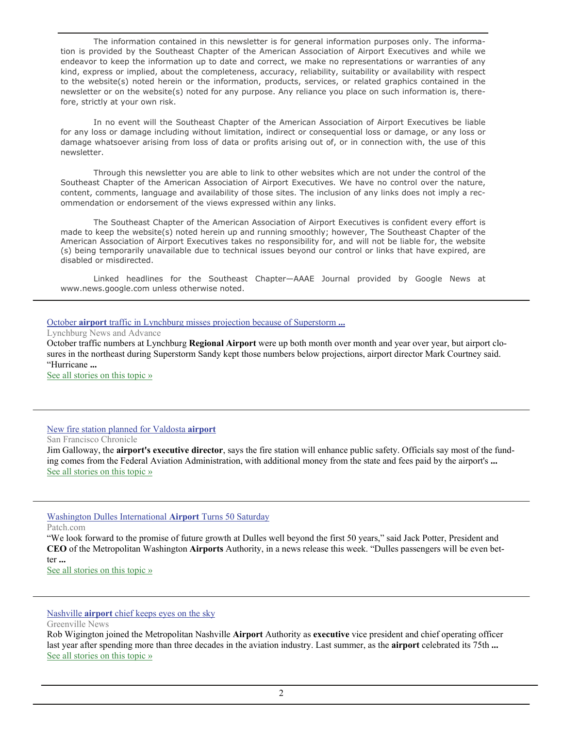The information contained in this newsletter is for general information purposes only. The information is provided by the Southeast Chapter of the American Association of Airport Executives and while we endeavor to keep the information up to date and correct, we make no representations or warranties of any kind, express or implied, about the completeness, accuracy, reliability, suitability or availability with respect to the website(s) noted herein or the information, products, services, or related graphics contained in the newsletter or on the website(s) noted for any purpose. Any reliance you place on such information is, therefore, strictly at your own risk.

 In no event will the Southeast Chapter of the American Association of Airport Executives be liable for any loss or damage including without limitation, indirect or consequential loss or damage, or any loss or damage whatsoever arising from loss of data or profits arising out of, or in connection with, the use of this newsletter.

 Through this newsletter you are able to link to other websites which are not under the control of the Southeast Chapter of the American Association of Airport Executives. We have no control over the nature, content, comments, language and availability of those sites. The inclusion of any links does not imply a recommendation or endorsement of the views expressed within any links.

 The Southeast Chapter of the American Association of Airport Executives is confident every effort is made to keep the website(s) noted herein up and running smoothly; however, The Southeast Chapter of the American Association of Airport Executives takes no responsibility for, and will not be liable for, the website (s) being temporarily unavailable due to technical issues beyond our control or links that have expired, are disabled or misdirected.

 Linked headlines for the Southeast Chapter—AAAE Journal provided by Google News at www.news.google.com unless otherwise noted.

#### October **airport** [traffic in Lynchburg misses projection because of Superstorm](http://www.google.com/url?sa=X&q=http://www.newsadvance.com/news/business/article_aee0a1ca-3293-11e2-b5dd-0019bb30f31a.html&ct=ga&cad=CAEQARgAIAAoATABOAFAxuKqhQVIAVAAWABiAmVu&cd=zwLvr6Og7DI&usg=AFQjCNFoTLTr_fA8PcuJj3djrPMqwXDPfQ) **...**

Lynchburg News and Advance

October traffic numbers at Lynchburg **Regional Airport** were up both month over month and year over year, but airport closures in the northeast during Superstorm Sandy kept those numbers below projections, airport director Mark Courtney said. "Hurricane **...**

[See all stories on this topic »](http://www.google.com/url?sa=X&q=http://news.google.com/news/story%3Fncl%3Dhttp://www.newsadvance.com/news/business/article_aee0a1ca-3293-11e2-b5dd-0019bb30f31a.html%26hl%3Den%26geo%3Dus&ct=ga&cad=CAEQARgAIAAoBjABOAFAxuKqhQVIAVAAWABiAmVu&cd=zwLvr6Og7DI&usg=AFQjCNHF5pyyA59vnN_9bbLxlaIL0WLRBA)

#### [New fire station planned for Valdosta](http://www.google.com/url?sa=X&q=http://www.sfgate.com/news/article/New-fire-station-planned-for-Valdosta-airport-4045831.php&ct=ga&cad=CAEQAhgAIAAoATAAOABAg_2ehQVIAVAAWABiAmVu&cd=YB6GzI4oTeY&usg=AFQjCNHBpWRo4VKZcYkF1PimuqDaASYf0Q) **airport**

San Francisco Chronicle

Jim Galloway, the **airport's executive director**, says the fire station will enhance public safety. Officials say most of the funding comes from the Federal Aviation Administration, with additional money from the state and fees paid by the airport's **...** [See all stories on this topic »](http://www.google.com/url?sa=X&q=http://news.google.com/news/story%3Fncl%3Dhttp://www.sfgate.com/news/article/New-fire-station-planned-for-Valdosta-airport-4045831.php%26hl%3Den%26geo%3Dus&ct=ga&cad=CAEQAhgAIAAoBjAAOABAg_2ehQVIAVAAWABiAmVu&cd=YB6GzI4oTeY&usg=AFQjCNFbV7fGQD_rfTyM2hn61qZenNl7KA)

#### [Washington Dulles International](http://www.google.com/url?sa=X&q=http://chantilly.patch.com/articles/washington-dulles-international-airport-turns-50-saturday&ct=ga&cad=CAEQAhgAIAAoATACOAJA6pahhQVIAVAAWABiAmVu&cd=T5-JbhqBVW8&usg=AFQjCNGSJbswWvaXqhwImDscocAlPmAu4g) **Airport** Turns 50 Saturday

Patch.com

"We look forward to the promise of future growth at Dulles well beyond the first 50 years," said Jack Potter, President and **CEO** of the Metropolitan Washington **Airports** Authority, in a news release this week. "Dulles passengers will be even better **...**

[See all stories on this topic »](http://www.google.com/url?sa=X&q=http://news.google.com/news/story%3Fncl%3Dhttp://chantilly.patch.com/articles/washington-dulles-international-airport-turns-50-saturday%26hl%3Den%26geo%3Dus&ct=ga&cad=CAEQAhgAIAAoBjACOAJA6pahhQVIAVAAWABiAmVu&cd=T5-JbhqBVW8&usg=AFQjCNHsIAT_pd1OjOOen_l4g7obnGw7ZQ)

#### Nashville **airport** [chief keeps eyes on the sky](http://www.google.com/url?sa=X&q=http://www.greenvilleonline.com/article/DN/20121118/BUSINESS01/311180008/Nashville-airport-chief-keeps-eyes-sky%3Fodyssey%3Dnav%257Chead&ct=ga&cad=CAEQAhgAIAAoATAAOABAhqCkhQVIAVAAWABiAmVu&cd=T6ieFRYtlAo&usg=AFQjCNHrNCkK9YJw3wFJUyOWYNCSbmj0hw)

Greenville News

Rob Wigington joined the Metropolitan Nashville **Airport** Authority as **executive** vice president and chief operating officer last year after spending more than three decades in the aviation industry. Last summer, as the **airport** celebrated its 75th **...** [See all stories on this topic »](http://www.google.com/url?sa=X&q=http://news.google.com/news/story%3Fncl%3Dhttp://www.greenvilleonline.com/article/DN/20121118/BUSINESS01/311180008/Nashville-airport-chief-keeps-eyes-sky%253Fodyssey%253Dnav%25257Chead%26hl%3Den%26geo%3Dus&ct=ga&cad=CAEQAhgAIAAoBjAAOABAhqCkhQVIAVAAWABiAmVu&cd=T6ieFRYtlAo&usg=AFQjCNFt9aNlF_65IgcRzI3zL0Grvmy6sQ)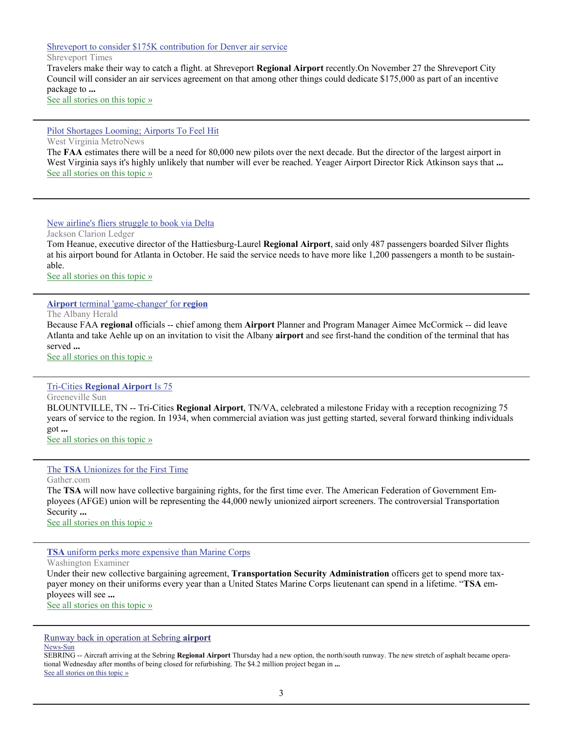## [Shreveport to consider \\$175K contribution for Denver air service](http://www.google.com/url?sa=X&q=http://www.shreveporttimes.com/article/20121119/NEWS01/121118001/Shreveport-consider-175K-contribution-Denver-air-service%3Fodyssey%3Dtab%257Ctopnews%257Ctext%257CFRONTPAGE&ct=ga&cad=CAEQARgAIAAoATAAOABAkYuohQVIAVAAWABiAmVu&cd=B45jxdEoK4c&usg=AFQjCNHmDCgjeC6p4hdiV4ENEYEo2QDq1w)

Shreveport Times

Travelers make their way to catch a flight. at Shreveport **Regional Airport** recently.On November 27 the Shreveport City Council will consider an air services agreement on that among other things could dedicate \$175,000 as part of an incentive package to **...** [See all stories on this topic »](http://www.google.com/url?sa=X&q=http://news.google.com/news/story%3Fncl%3Dhttp://www.shreveporttimes.com/article/20121119/NEWS01/121118001/Shreveport-consider-175K-contribution-Denver-air-service%253Fodyssey%253Dtab%25257Ctopnews%25257Ctext%25257CFRONTPAGE%26hl%3Den%26geo%3Dus&ct=ga&cad=CAEQARgAIAAoBjAAOABAkYuohQVIAVAAWABiAmVu&cd=B45jxdEoK4c&usg=AFQjCNG9zM54VJbeUuQiDoSDNaFIHEeVWg)

#### [Pilot Shortages Looming; Airports To Feel Hit](http://www.google.com/url?sa=X&q=http://www.wvmetronews.com/news.cfm%3Ffunc%3Ddisplayfullstory%26storyid%3D56280&ct=ga&cad=CAcQARgAIAAoATADOANA2-yFhQVIAVAAWABiBWVuLVVT&cd=nFd-_cqcAe0&usg=AFQjCNFQZvLRHJAwfXm1jr4zmT6yYjy0BQ)

West Virginia MetroNews

The **FAA** estimates there will be a need for 80,000 new pilots over the next decade. But the director of the largest airport in West Virginia says it's highly unlikely that number will ever be reached. Yeager Airport Director Rick Atkinson says that **...** [See all stories on this topic »](http://www.google.com/url?sa=X&q=http://news.google.com/news/story%3Fncl%3Dhttp://www.wvmetronews.com/news.cfm%253Ffunc%253Ddisplayfullstory%2526storyid%253D56280%26hl%3Den%26geo%3Dus&ct=ga&cad=CAcQARgAIAAoBjADOANA2-yFhQVIAVAAWABiBWVuLVVT&cd=nFd-_cqcAe0&usg=AFQjCNGLjJQ2GRhZDzuMQSkrsja40hD1yw)

### [New airline's fliers struggle to book via Delta](http://www.google.com/url?sa=X&q=http://www.clarionledger.com/viewart/20121110/BIZ/311100029/New-airline-s-fliers-struggle-book-via-Delta%3Fodyssey%3Dmod%257Cnewswell%257Ctext%257CHome%257Cp&ct=ga&cad=CAEQARgAIAAoATAAOABA4-v6hAVIAVAAWABiAmVu&cd=Uu0z5_zzkbM&usg=AFQjCNEjsthjep3lHnc8aaporad92Xeylw)

Jackson Clarion Ledger

Tom Heanue, executive director of the Hattiesburg-Laurel **Regional Airport**, said only 487 passengers boarded Silver flights at his airport bound for Atlanta in October. He said the service needs to have more like 1,200 passengers a month to be sustainable.

[See all stories on this topic »](http://www.google.com/url?sa=X&q=http://news.google.com/news/story%3Fncl%3Dhttp://www.clarionledger.com/viewart/20121110/BIZ/311100029/New-airline-s-fliers-struggle-book-via-Delta%253Fodyssey%253Dmod%25257Cnewswell%25257Ctext%25257CHome%25257Cp%26hl%3Den%26geo%3Dus&ct=ga&cad=CAEQARgAIAAoBjAAOABA4-v6hAVIAVAAWABiAmVu&cd=Uu0z5_zzkbM&usg=AFQjCNFLRFGV_wYLeH6ZLMVEPVut0k0pIQ)

#### **Airport** [terminal 'game-changer' for](http://www.google.com/url?sa=X&q=http://www.albanyherald.com/news/2012/nov/10/airport-terminal-game-changer-for-region/&ct=ga&cad=CAEQARgAIAAoATAAOABA2Nj7hAVIAVAAWABiAmVu&cd=lNfCJh6CfgM&usg=AFQjCNFOEEbIN6M0q4HYxcmbJ0T3xj8fCw) **region**

The Albany Herald Because FAA **regional** officials -- chief among them **Airport** Planner and Program Manager Aimee McCormick -- did leave Atlanta and take Aehle up on an invitation to visit the Albany **airport** and see first-hand the condition of the terminal that has served **...**

[See all stories on this topic »](http://www.google.com/url?sa=X&q=http://news.google.com/news/story%3Fncl%3Dhttp://www.albanyherald.com/news/2012/nov/10/airport-terminal-game-changer-for-region/%26hl%3Den%26geo%3Dus&ct=ga&cad=CAEQARgAIAAoBjAAOABA2Nj7hAVIAVAAWABiAmVu&cd=lNfCJh6CfgM&usg=AFQjCNEP5rmSYQkwMNYimMK44itW5PkVWA)

#### Tri-Cities **[Regional Airport](http://www.google.com/url?sa=X&q=http://www.greenevillesun.com/Business/article/Tri-Cities-Regional-Airport-Is-75-id-321982&ct=ga&cad=CAEQARgAIAAoATAAOABAopL5hAVIAVAAWABiAmVu&cd=blmemW0qKMU&usg=AFQjCNGOaAiouiG3RodFT6G8g_kYirFzhQ)** Is 75

Greeneville Sun BLOUNTVILLE, TN -- Tri-Cities **Regional Airport**, TN/VA, celebrated a milestone Friday with a reception recognizing 75 years of service to the region. In 1934, when commercial aviation was just getting started, several forward thinking individuals got **...**

[See all stories on this topic »](http://www.google.com/url?sa=X&q=http://news.google.com/news/story%3Fncl%3Dhttp://www.greenevillesun.com/Business/article/Tri-Cities-Regional-Airport-Is-75-id-321982%26hl%3Den%26geo%3Dus&ct=ga&cad=CAEQARgAIAAoBjAAOABAopL5hAVIAVAAWABiAmVu&cd=blmemW0qKMU&usg=AFQjCNEXz2lJZeHnXv79zKMiqu5gcQA5wQ)

The **TSA** [Unionizes for the First Time](http://www.google.com/url?sa=X&q=http://news.gather.com/viewArticle.action%3FarticleId%3D281474981751002&ct=ga&cad=CAEQARgAIAAoATAAOABA75f6hAVIAVAAWABiAmVu&cd=QrQITGhGec4&usg=AFQjCNGoSL4iqy9j8HHrhYtYF2tQdHzWJA)

Gather.com

The **TSA** will now have collective bargaining rights, for the first time ever. The American Federation of Government Employees (AFGE) union will be representing the 44,000 newly unionized airport screeners. The controversial Transportation Security **...**

[See all stories on this topic »](http://www.google.com/url?sa=X&q=http://news.google.com/news/story%3Fncl%3Dhttp://news.gather.com/viewArticle.action%253FarticleId%253D281474981751002%26hl%3Den%26geo%3Dus&ct=ga&cad=CAEQARgAIAAoBjAAOABA75f6hAVIAVAAWABiAmVu&cd=QrQITGhGec4&usg=AFQjCNEbkinUgj6g_YnSr5M63tuGrCe5VQ)

**TSA** [uniform perks more expensive than Marine Corps](http://www.google.com/url?sa=X&q=http://washingtonexaminer.com/tsa-uniform-perks-more-expensive-than-marine-corps/article/2513111&ct=ga&cad=CAEQARgAIAAoATAAOABAie31hAVIAVAAWABiAmVu&cd=h34XjYOHERw&usg=AFQjCNFT7YZS8z1Fh_PV5WSTjlIyZisthQ)

Washington Examiner

Under their new collective bargaining agreement, **Transportation Security Administration** officers get to spend more taxpayer money on their uniforms every year than a United States Marine Corps lieutenant can spend in a lifetime. "**TSA** employees will see **...** [See all stories on this topic »](http://www.google.com/url?sa=X&q=http://news.google.com/news/story%3Fncl%3Dhttp://washingtonexaminer.com/tsa-uniform-perks-more-expensive-than-marine-corps/article/2513111%26hl%3Den%26geo%3Dus&ct=ga&cad=CAEQARgAIAAoBjAAOABAie31hAVIAVAAWABiAmVu&cd=h34XjYOHERw&usg=AFQjCNGWqIKDxQT594XrqYZ5i_4VApnVBg)

[Runway back in operation at Sebring](http://www.google.com/url?sa=X&q=http://www.newssun.com/news/113012-new-runway&ct=ga&cad=CAEQARgAIAAoATABOAFAgsPjhQVIAVAAWABiAmVu&cd=uSVMv9YY9ss&usg=AFQjCNHam5HF7oSvIwSt4g_CUIi1hzmALQ) **airport**

News-Sun

SEBRING -- Aircraft arriving at the Sebring **Regional Airport** Thursday had a new option, the north/south runway. The new stretch of asphalt became operational Wednesday after months of being closed for refurbishing. The \$4.2 million project began in **...** [See all stories on this topic »](http://www.google.com/url?sa=X&q=http://news.google.com/news/story%3Fncl%3Dhttp://www.newssun.com/news/113012-new-runway%26hl%3Den%26geo%3Dus&ct=ga&cad=CAEQARgAIAAoBjABOAFAgsPjhQVIAVAAWABiAmVu&cd=uSVMv9YY9ss&usg=AFQjCNGz54GN2EL38L-hP0ZQW5kXOaUejw)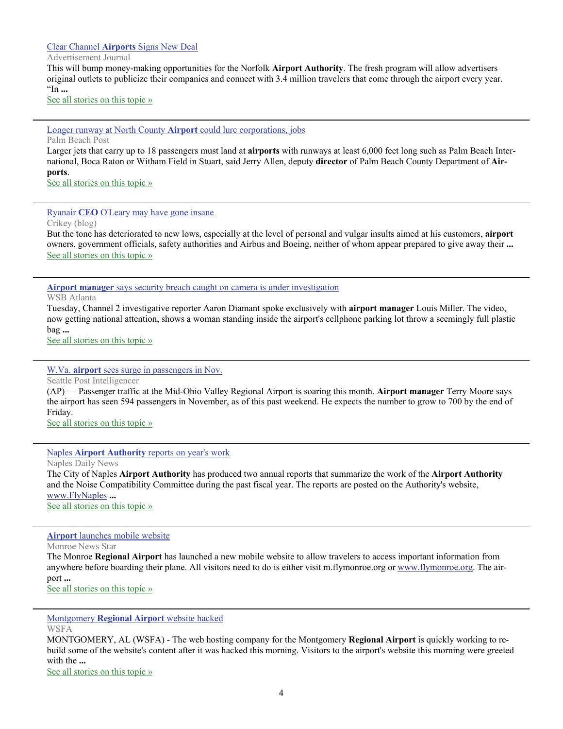#### Clear Channel **Airports** [Signs New Deal](http://www.google.com/url?sa=X&q=http://www.advertisementjournal.com/2012/11/clear-channel-airports-signs-new-deal/&ct=ga&cad=CAEQARgAIAAoATAAOABA6evxhAVIAVAAWABiAmVu&cd=sfSgHHgAMd8&usg=AFQjCNFHgnSD_j7W9QKBuWXi590s33lnUA)

Advertisement Journal

This will bump money-making opportunities for the Norfolk **Airport Authority**. The fresh program will allow advertisers original outlets to publicize their companies and connect with 3.4 million travelers that come through the airport every year. "In **...**

[See all stories on this topic »](http://www.google.com/url?sa=X&q=http://news.google.com/news/story%3Fncl%3Dhttp://www.advertisementjournal.com/2012/11/clear-channel-airports-signs-new-deal/%26hl%3Den%26geo%3Dus&ct=ga&cad=CAEQARgAIAAoBjAAOABA6evxhAVIAVAAWABiAmVu&cd=sfSgHHgAMd8&usg=AFQjCNFZpGeCXsk5dzBAjZTFxvpeZV7hww)

#### [Longer runway at North County](http://www.google.com/url?sa=X&q=http://www.palmbeachpost.com/news/news/local/longer-runway-at-north-county-airport-could-lure-c/nS2cJ/&ct=ga&cad=CAEQAhgAIAAoATAAOABA8NvxhAVIAVAAWABiAmVu&cd=yT2dnqPf5NQ&usg=AFQjCNGsfRxi8tfLkfIX6cTqgMRKn43vjg) **Airport** could lure corporations, jobs

Palm Beach Post

Larger jets that carry up to 18 passengers must land at **airports** with runways at least 6,000 feet long such as Palm Beach International, Boca Raton or Witham Field in Stuart, said Jerry Allen, deputy **director** of Palm Beach County Department of **Airports**.

[See all stories on this topic »](http://www.google.com/url?sa=X&q=http://news.google.com/news/story%3Fncl%3Dhttp://www.palmbeachpost.com/news/news/local/longer-runway-at-north-county-airport-could-lure-c/nS2cJ/%26hl%3Den%26geo%3Dus&ct=ga&cad=CAEQAhgAIAAoBjAAOABA8NvxhAVIAVAAWABiAmVu&cd=yT2dnqPf5NQ&usg=AFQjCNF4PBuy6N_wk7_LXNiCQISiNCfeVQ)

### Ryanair **CEO** [O'Leary may have gone insane](http://www.google.com/url?sa=X&q=http://blogs.crikey.com.au/planetalking/2012/11/09/ryanair-ceo-oleary-may-have-gone-insane/&ct=ga&cad=CAEQAhgAIAAoATABOAFA8NvxhAVIAVAAWABiAmVu&cd=yT2dnqPf5NQ&usg=AFQjCNGiSqlR2CdvVcfqsc5Ki1Ny6XHURA)

Crikey (blog)

But the tone has deteriorated to new lows, especially at the level of personal and vulgar insults aimed at his customers, **airport** owners, government officials, safety authorities and Airbus and Boeing, neither of whom appear prepared to give away their **...** [See all stories on this topic »](http://www.google.com/url?sa=X&q=http://news.google.com/news/story%3Fncl%3Dhttp://blogs.crikey.com.au/planetalking/2012/11/09/ryanair-ceo-oleary-may-have-gone-insane/%26hl%3Den%26geo%3Dus&ct=ga&cad=CAEQAhgAIAAoBjABOAFA8NvxhAVIAVAAWABiAmVu&cd=yT2dnqPf5NQ&usg=AFQjCNELJ3-7FGtXIhB5tcbm-E9eaqiLqQ)

### **Airport manager** [says security breach caught on camera is under investigation](http://www.google.com/url?sa=X&q=http://www.wsbtv.com/news/news/local/airport-managers-says-security-breach-caught-camer/nTG5H/&ct=ga&cad=CAEQAhgAIAAoATAAOABAwJbahQVIAVAAWABiAmVu&cd=cCzxTaFFrmc&usg=AFQjCNFUgEtyoQcYAKVw_64e5HtZAHYELg)

WSB Atlanta

Tuesday, Channel 2 investigative reporter Aaron Diamant spoke exclusively with **airport manager** Louis Miller. The video, now getting national attention, shows a woman standing inside the airport's cellphone parking lot throw a seemingly full plastic bag **...**

[See all stories on this topic »](http://www.google.com/url?sa=X&q=http://news.google.com/news/story%3Fncl%3Dhttp://www.wsbtv.com/news/news/local/airport-managers-says-security-breach-caught-camer/nTG5H/%26hl%3Den%26geo%3Dus&ct=ga&cad=CAEQAhgAIAAoBjAAOABAwJbahQVIAVAAWABiAmVu&cd=cCzxTaFFrmc&usg=AFQjCNH9-6i5TkaO3sfcvhjUHAGErgv5SQ)

#### W.Va. **airport** [sees surge in passengers in Nov.](http://www.google.com/url?sa=X&q=http://www.seattlepi.com/news/article/W-Va-airport-sees-surge-in-passengers-in-Nov-4074071.php&ct=ga&cad=CAEQAhgAIAAoATABOAFAwJbahQVIAVAAWABiAmVu&cd=cCzxTaFFrmc&usg=AFQjCNHx_MF-y8n8QBtC-jOvvzrzGjD56w)

Seattle Post Intelligencer (AP) — Passenger traffic at the Mid-Ohio Valley Regional Airport is soaring this month. **Airport manager** Terry Moore says

the airport has seen 594 passengers in November, as of this past weekend. He expects the number to grow to 700 by the end of Friday.

[See all stories on this topic »](http://www.google.com/url?sa=X&q=http://news.google.com/news/story%3Fncl%3Dhttp://www.seattlepi.com/news/article/W-Va-airport-sees-surge-in-passengers-in-Nov-4074071.php%26hl%3Den%26geo%3Dus&ct=ga&cad=CAEQAhgAIAAoBjABOAFAwJbahQVIAVAAWABiAmVu&cd=cCzxTaFFrmc&usg=AFQjCNHvGPnYP3FVCyZBGI8BpSGltoWr0g)

#### Naples **Airport Authority** [reports on year's work](http://www.google.com/url?sa=X&q=http://www.naplesnews.com/news/2012/nov/27/naples-airport-authority-reports-on-years-work-869/&ct=ga&cad=CAEQARgAIAAoATABOAFAsoPWhQVIAVAAWABiAmVu&cd=jT74L4DnQQA&usg=AFQjCNG4AObphCoqkDs2UHonJ8yuGGpzlw)

Naples Daily News

The City of Naples **Airport Authority** has produced two annual reports that summarize the work of the **Airport Authority** and the Noise Compatibility Committee during the past fiscal year. The reports are posted on the Authority's website, [www.FlyNaples](http://www.FlyNaples) **...** [See all stories on this topic »](http://www.google.com/url?sa=X&q=http://news.google.com/news/story%3Fncl%3Dhttp://www.naplesnews.com/news/2012/nov/27/naples-airport-authority-reports-on-years-work-869/%26hl%3Den%26geo%3Dus&ct=ga&cad=CAEQARgAIAAoBjABOAFAsoPWhQVIAVAAWABiAmVu&cd=jT74L4DnQQA&usg=AFQjCNFUaVfndtpvYSw-hJARCPe8XAs1yg)

#### **Airport** [launches mobile website](http://www.google.com/url?sa=X&q=http://www.thenewsstar.com/article/20121127/NEWS01/121127008/Airport-launches-mobile-website&ct=ga&cad=CAEQARgAIAAoATAAOABAtN7ThQVIAVAAWABiAmVu&cd=eavXq1gwi1E&usg=AFQjCNGmEMg2mHLSW9IHYr6PAGj8yAK1hw)

Monroe News Star

The Monroe **Regional Airport** has launched a new mobile website to allow travelers to access important information from anywhere before boarding their plane. All visitors need to do is either visit m.flymonroe.org or [www.flymonroe.org](http://www.flymonroe.org). The airport **...**

[See all stories on this topic »](http://www.google.com/url?sa=X&q=http://news.google.com/news/story%3Fncl%3Dhttp://www.thenewsstar.com/article/20121127/NEWS01/121127008/Airport-launches-mobile-website%26hl%3Den%26geo%3Dus&ct=ga&cad=CAEQARgAIAAoBjAAOABAtN7ThQVIAVAAWABiAmVu&cd=eavXq1gwi1E&usg=AFQjCNHjFiaLSYbZATaK8ByAuGMIeKL4ug)

Montgomery **[Regional Airport](http://www.google.com/url?sa=X&q=http://centralmontgomery.wsfa.com/news/news/195065-montgomery-regional-airport-website-hacked&ct=ga&cad=CAEQARgAIAAoATABOAFA04vQhQVIAVAAWABiAmVu&cd=oxjASmgkHxQ&usg=AFQjCNHoWyqDhZ3AL2g0hgy6o_2SWi_poQ)** website hacked

**WSFA** 

MONTGOMERY, AL (WSFA) - The web hosting company for the Montgomery **Regional Airport** is quickly working to rebuild some of the website's content after it was hacked this morning. Visitors to the airport's website this morning were greeted with the **...**

[See all stories on this topic »](http://www.google.com/url?sa=X&q=http://news.google.com/news/story%3Fncl%3Dhttp://centralmontgomery.wsfa.com/news/news/195065-montgomery-regional-airport-website-hacked%26hl%3Den%26geo%3Dus&ct=ga&cad=CAEQARgAIAAoBjABOAFA04vQhQVIAVAAWABiAmVu&cd=oxjASmgkHxQ&usg=AFQjCNG9Bmy_7uQlZe_PGwX0mGOfGtdmsQ)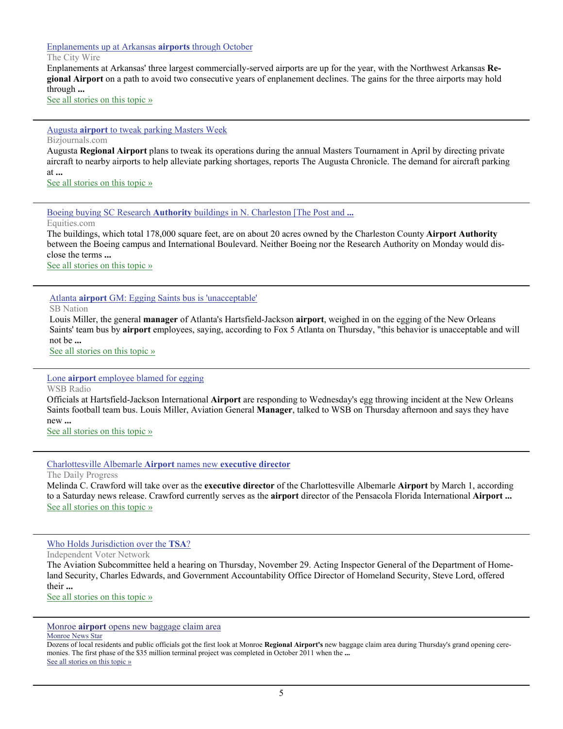#### [Enplanements up at Arkansas](http://www.google.com/url?sa=X&q=http://www.thecitywire.com/node/25284&ct=ga&cad=CAEQARgAIAAoATABOAFA0oDRhQVIAVAAWABiAmVu&cd=on5JHQ-1FfM&usg=AFQjCNHxdnWKO8u4F35ZgJGPcR9p6RX1pA) **airports** through October

The City Wire

Enplanements at Arkansas' three largest commercially-served airports are up for the year, with the Northwest Arkansas **Regional Airport** on a path to avoid two consecutive years of enplanement declines. The gains for the three airports may hold through **...**

[See all stories on this topic »](http://www.google.com/url?sa=X&q=http://news.google.com/news/story%3Fncl%3Dhttp://www.thecitywire.com/node/25284%26hl%3Den%26geo%3Dus&ct=ga&cad=CAEQARgAIAAoBjABOAFA0oDRhQVIAVAAWABiAmVu&cd=on5JHQ-1FfM&usg=AFQjCNGvvyYnoRm3JwdmesLlUQdlYuQGmA)

#### Augusta **airport** [to tweak parking Masters Week](http://www.google.com/url?sa=X&q=http://www.bizjournals.com/atlanta/morning_call/2012/12/augusta-airport-to-tweak-parking.html&ct=ga&cad=CAEQARgAIAAoATABOAFA2L74hQVIAVAAWABiAmVu&cd=AgznXY160CQ&usg=AFQjCNGVsy8uYSNgGsqyk3RaScdjrdWZbg)

Bizjournals.com

Augusta **Regional Airport** plans to tweak its operations during the annual Masters Tournament in April by directing private aircraft to nearby airports to help alleviate parking shortages, reports The Augusta Chronicle. The demand for aircraft parking at **...**

[See all stories on this topic »](http://www.google.com/url?sa=X&q=http://news.google.com/news/story%3Fncl%3Dhttp://www.bizjournals.com/atlanta/morning_call/2012/12/augusta-airport-to-tweak-parking.html%26hl%3Den%26geo%3Dus&ct=ga&cad=CAEQARgAIAAoBjABOAFA2L74hQVIAVAAWABiAmVu&cd=AgznXY160CQ&usg=AFQjCNFcvqEMR9t7HH9bhfDZmXOPgHLHww)

Boeing buying SC Research **Authority** [buildings in N. Charleston \[The Post and](http://www.google.com/url?sa=X&q=http://www.equities.com/news/headline-story%3Fdt%3D2012-12-04%26val%3D784693%26cat%3Dindustrial&ct=ga&cad=CAEQARgAIAAoATABOAFA04L4hQVIAVAAWABiAmVu&cd=707f-1FE_O8&usg=AFQjCNGLWtr9_dMMRb5EwSJYfNh-0QUqQA) **...**

Equities.com

The buildings, which total 178,000 square feet, are on about 20 acres owned by the Charleston County **Airport Authority** between the Boeing campus and International Boulevard. Neither Boeing nor the Research Authority on Monday would disclose the terms **...**

[See all stories on this topic »](http://www.google.com/url?sa=X&q=http://news.google.com/news/story%3Fncl%3Dhttp://www.equities.com/news/headline-story%253Fdt%253D2012-12-04%2526val%253D784693%2526cat%253Dindustrial%26hl%3Den%26geo%3Dus&ct=ga&cad=CAEQARgAIAAoBjABOAFA04L4hQVIAVAAWABiAmVu&cd=707f-1FE_O8&usg=AFQjCNFzjU01b4jUyLdRNbM68eZ88CBxMw)

Atlanta **airport** GM: Egging Saints bus is 'unacceptable'

SB Nation

Louis Miller, the general **manager** of Atlanta's Hartsfield-Jackson **airport**, weighed in on the egging of the New Orleans Saints' team bus by **airport** employees, saying, according to Fox 5 Atlanta on Thursday, "this behavior is unacceptable and will not be **...**

See all stories on this topic »

Lone **airport** [employee blamed for egging](http://www.google.com/url?sa=X&q=http://www.wsbradio.com/news/news/local/lone-airport-employee-blamed-egging/nTJhZ/&ct=ga&cad=CAEQAhgAIAAoATAEOARAxtzkhQVIAVAAWABiAmVu&cd=Q9BrASRuBAQ&usg=AFQjCNEYl_eXNt4fLoQirKNLxtZiKFQccg)

WSB Radio

Officials at Hartsfield-Jackson International **Airport** are responding to Wednesday's egg throwing incident at the New Orleans Saints football team bus. Louis Miller, Aviation General **Manager**, talked to WSB on Thursday afternoon and says they have new **...**

[See all stories on this topic »](http://www.google.com/url?sa=X&q=http://news.google.com/news/story%3Fncl%3Dhttp://www.wsbradio.com/news/news/local/lone-airport-employee-blamed-egging/nTJhZ/%26hl%3Den%26geo%3Dus&ct=ga&cad=CAEQAhgAIAAoBjAEOARAxtzkhQVIAVAAWABiAmVu&cd=Q9BrASRuBAQ&usg=AFQjCNFPUmy0qhnikJvtDY2Ge6WybiT-Bg)

[Charlottesville Albemarle](http://www.google.com/url?sa=X&q=http://www.dailyprogress.com/news/local/article_aaf40028-3c36-11e2-9753-0019bb30f31a.html&ct=ga&cad=CAEQAhgAIAAoATAAOABAhoruhQVIAVAAWABiAmVu&cd=6_gWKEhyxro&usg=AFQjCNEFQHuuvGxu9WvROK8QgwyLM6gRyw) **Airport** names new **executive director**

The Daily Progress

Melinda C. Crawford will take over as the **executive director** of the Charlottesville Albemarle **Airport** by March 1, according to a Saturday news release. Crawford currently serves as the **airport** director of the Pensacola Florida International **Airport ...** [See all stories on this topic »](http://www.google.com/url?sa=X&q=http://news.google.com/news/story%3Fncl%3Dhttp://www.dailyprogress.com/news/local/article_aaf40028-3c36-11e2-9753-0019bb30f31a.html%26hl%3Den%26geo%3Dus&ct=ga&cad=CAEQAhgAIAAoBjAAOABAhoruhQVIAVAAWABiAmVu&cd=6_gWKEhyxro&usg=AFQjCNFMMDSGC33_9vCb4oyEhs_kf9HOzw)

[Who Holds Jurisdiction over the](http://www.google.com/url?sa=X&q=http://ivn.us/2012/12/02/who-holds-jurisdiction-over-the-tsa/&ct=ga&cad=CAEQARgAIAAoATAAOABAzpfuhQVIAVAAWABiAmVu&cd=HJ2htrBxhYM&usg=AFQjCNEsMPRZ94-rGxK_aFC67HdG_8569A) **TSA**?

Independent Voter Network

The Aviation Subcommittee held a hearing on Thursday, November 29. Acting Inspector General of the Department of Homeland Security, Charles Edwards, and Government Accountability Office Director of Homeland Security, Steve Lord, offered their **...**

[See all stories on this topic »](http://www.google.com/url?sa=X&q=http://news.google.com/news/story%3Fncl%3Dhttp://ivn.us/2012/12/02/who-holds-jurisdiction-over-the-tsa/%26hl%3Den%26geo%3Dus&ct=ga&cad=CAEQARgAIAAoBjAAOABAzpfuhQVIAVAAWABiAmVu&cd=HJ2htrBxhYM&usg=AFQjCNERvRav5R6I1b4jCycdxzdB_ptG8Q)

Monroe **airport** [opens new baggage claim area](http://www.google.com/url?sa=X&q=http://www.thenewsstar.com/article/20121130/NEWS01/211300314/Air-completion%3Fodyssey%3Dnav%257Chead&ct=ga&cad=CAEQARgAIAAoATAAOABA97jkhQVIAVAAWABiAmVu&cd=EGrkMyLgzuM&usg=AFQjCNGOyIzAkmLQiT8IGe2S3gVvAypHQw)

Monroe News Star

Dozens of local residents and public officials got the first look at Monroe **Regional Airport's** new baggage claim area during Thursday's grand opening ceremonies. The first phase of the \$35 million terminal project was completed in October 2011 when the **...** [See all stories on this topic »](http://www.google.com/url?sa=X&q=http://news.google.com/news/story%3Fncl%3Dhttp://www.thenewsstar.com/article/20121130/NEWS01/211300314/Air-completion%253Fodyssey%253Dnav%25257Chead%26hl%3Den%26geo%3Dus&ct=ga&cad=CAEQARgAIAAoBjAAOABA97jkhQVIAVAAWABiAmVu&cd=EGrkMyLgzuM&usg=AFQjCNH6VTOa94L0gvg77c31YidyEC2AMw)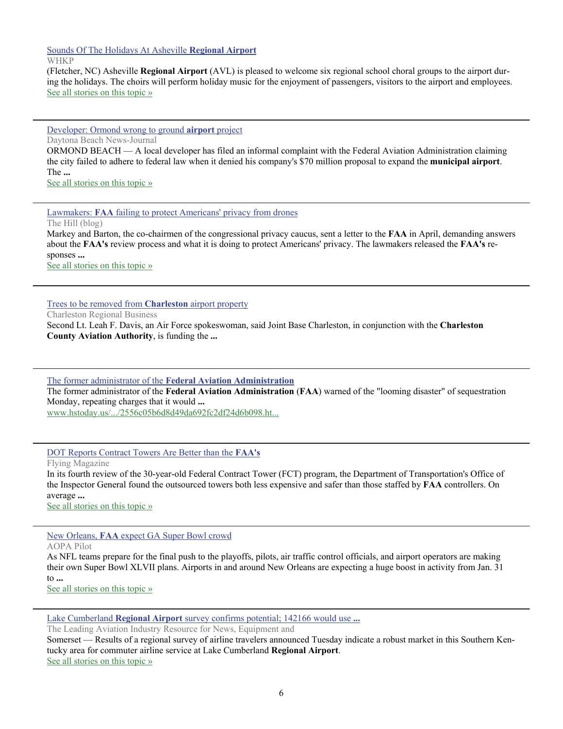[Sounds Of The Holidays At Asheville](http://www.google.com/url?sa=X&q=http://www.whkp.com/news/6917-sounds-of-the-holidays-at-asheville-regional-airport.html&ct=ga&cad=CAEQARgAIAAoATABOAFA5-XfhQVIAVAAWABiAmVu&cd=XxqavLlChvw&usg=AFQjCNHzVcCsnczzLSzo0oqJgWgOEqjoQw) **Regional Airport** WHKP

(Fletcher, NC) Asheville **Regional Airport** (AVL) is pleased to welcome six regional school choral groups to the airport during the holidays. The choirs will perform holiday music for the enjoyment of passengers, visitors to the airport and employees. [See all stories on this topic »](http://www.google.com/url?sa=X&q=http://news.google.com/news/story%3Fncl%3Dhttp://www.whkp.com/news/6917-sounds-of-the-holidays-at-asheville-regional-airport.html%26hl%3Den%26geo%3Dus&ct=ga&cad=CAEQARgAIAAoBjABOAFA5-XfhQVIAVAAWABiAmVu&cd=XxqavLlChvw&usg=AFQjCNHb5-Tya6ezIaybDtUdWLFLc-O6sA)

[Developer: Ormond wrong to ground](http://www.google.com/url?sa=X&q=http://www.news-journalonline.com/article/20121129/NEWS/311299964/1024%3FTitle%3DDeveloper-Ormond-wrong-to-ground-airport-project&ct=ga&cad=CAEQARgAIAAoATAAOABA4o_hhQVIAVAAWABiAmVu&cd=1vWBJB-K5k0&usg=AFQjCNHGbG-7fi1vLvLYBEN5dj7a0PZPRA) **airport** project

Daytona Beach News-Journal

ORMOND BEACH — A local developer has filed an informal complaint with the Federal Aviation Administration claiming the city failed to adhere to federal law when it denied his company's \$70 million proposal to expand the **municipal airport**. The **...**

[See all stories on this topic »](http://www.google.com/url?sa=X&q=http://news.google.com/news/story%3Fncl%3Dhttp://www.news-journalonline.com/article/20121129/NEWS/311299964/1024%253FTitle%253DDeveloper-Ormond-wrong-to-ground-airport-project%26hl%3Den%26geo%3Dus&ct=ga&cad=CAEQARgAIAAoBjAAOABA4o_hhQVIAVAAWABiAmVu&cd=1vWBJB-K5k0&usg=AFQjCNEM3TdLZlMXIsk3ebF6TwEC0neyuA)

Lawmakers: **FAA** [failing to protect Americans' privacy from drones](http://www.google.com/url?sa=X&q=http://thehill.com/blogs/hillicon-valley/technology/270167-lawmakers-faa-failing-to-protect-americans-privacy-from-drones&ct=ga&cad=CAcQARgAIAAoATAAOABAgsXfhQVIAVAAWABiBWVuLVVT&cd=PEvRg-6fB8A&usg=AFQjCNEP7JNo9M2CFvG8lJp6Hfkng4R-nA)

The Hill (blog)

Markey and Barton, the co-chairmen of the congressional privacy caucus, sent a letter to the **FAA** in April, demanding answers about the **FAA's** review process and what it is doing to protect Americans' privacy. The lawmakers released the **FAA's** responses **...**

[See all stories on this topic »](http://www.google.com/url?sa=X&q=http://news.google.com/news/story%3Fncl%3Dhttp://thehill.com/blogs/hillicon-valley/technology/270167-lawmakers-faa-failing-to-protect-americans-privacy-from-drones%26hl%3Den%26geo%3Dus&ct=ga&cad=CAcQARgAIAAoBjAAOABAgsXfhQVIAVAAWABiBWVuLVVT&cd=PEvRg-6fB8A&usg=AFQjCNEr_oyk_zvTMIKdvn88TlEJq9TxUg)

[Trees to be removed from](http://www.google.com/url?sa=X&q=http://www.charlestonbusiness.com/news/45991-trees-to-be-removed-from-charleston-airport-property&ct=ga&cad=CAcQARgBIAAoATAAOABAqJrfhQVIAVgBYgVlbi1VUw&cd=ha57FMaee_c&usg=AFQjCNG4kcWyitijksQ6d9xM53DP6-2MEg) **Charleston** airport property

Charleston Regional Business

Second Lt. Leah F. Davis, an Air Force spokeswoman, said Joint Base Charleston, in conjunction with the **Charleston County Aviation Authority**, is funding the **...**

The former administrator of the **[Federal Aviation Administration](http://www.google.com/url?sa=X&q=http://www.hstoday.us/briefings/industry-news/single-article/former-faa-chief-fears-impact-of-sequester-on-air-travel-tsa-security/2556c05b6d8d49da692fc2df24d6b098.html&ct=ga&cad=CAcQARgAIAEoATABOAFA8YXfhQVIAVgAYgVlbi1VUw&cd=9RKp14zSoNM&usg=AFQjCNGfeZ6lSp-tHGWNZhiTTqAIVBnMtg)**

The former administrator of the **Federal Aviation Administration** (**FAA**) warned of the "looming disaster" of sequestration Monday, repeating charges that it would **...**

[www.hstoday.us/.../2556c05b6d8d49da692fc2df24d6b098.ht...](http://www.google.com/url?sa=X&q=http://www.hstoday.us/briefings/industry-news/single-article/former-faa-chief-fears-impact-of-sequester-on-air-travel-tsa-security/2556c05b6d8d49da692fc2df24d6b098.html&ct=ga&cad=CAcQARgAIAEoBDABOAFA8YXfhQVIAVgAYgVlbi1VUw&cd=9RKp14zSoNM&usg=AFQjCNGfeZ6lSp-tHGWNZhiTTqAIVBnMtg)

[DOT Reports Contract Towers Are Better than the](http://www.google.com/url?sa=X&q=http://www.flyingmag.com/news/dot-reports-contract-towers-are-better-faas&ct=ga&cad=CAcQARgAIAAoATACOAJAjdDehQVIAVAAWABiBWVuLVVT&cd=CtTzmg-PuAA&usg=AFQjCNGa8Q-m1ouKs72qsgyI9_x4ugPz-w) **FAA's**

Flying Magazine

In its fourth review of the 30-year-old Federal Contract Tower (FCT) program, the Department of Transportation's Office of the Inspector General found the outsourced towers both less expensive and safer than those staffed by **FAA** controllers. On average **...**

[See all stories on this topic »](http://www.google.com/url?sa=X&q=http://news.google.com/news/story%3Fncl%3Dhttp://www.flyingmag.com/news/dot-reports-contract-towers-are-better-faas%26hl%3Den%26geo%3Dus&ct=ga&cad=CAcQARgAIAAoBjACOAJAjdDehQVIAVAAWABiBWVuLVVT&cd=CtTzmg-PuAA&usg=AFQjCNHu6CDYh-6QqHH4Ehu23APtHxfHMw)

New Orleans, **FAA** [expect GA Super Bowl crowd](http://www.google.com/url?sa=X&q=http://www.aopa.org/flightplanning/articles/2012/121129super-bowl-planning.html&ct=ga&cad=CAcQARgAIAAoATABOAFAjdDehQVIAVAAWABiBWVuLVVT&cd=CtTzmg-PuAA&usg=AFQjCNFPuAgClXa7RUfyyDjAQIsi6Tqzkg)

AOPA Pilot

As NFL teams prepare for the final push to the playoffs, pilots, air traffic control officials, and airport operators are making their own Super Bowl XLVII plans. Airports in and around New Orleans are expecting a huge boost in activity from Jan. 31 to **...**

[See all stories on this topic »](http://www.google.com/url?sa=X&q=http://news.google.com/news/story%3Fncl%3Dhttp://www.aopa.org/flightplanning/articles/2012/121129super-bowl-planning.html%26hl%3Den%26geo%3Dus&ct=ga&cad=CAcQARgAIAAoBjABOAFAjdDehQVIAVAAWABiBWVuLVVT&cd=CtTzmg-PuAA&usg=AFQjCNFx9ZmR9urhsxQof6tZcwTpsrtktg)

Lake Cumberland **Regional Airport** [survey confirms potential; 142166 would use](http://www.google.com/url?sa=X&q=http://www.aviationpros.com/news/10835641/lake-cumberland-regional-airport-survey-confirms-potential-142166-would-use-air-services&ct=ga&cad=CAEQARgAIAAoATAAOABA__DehQVIAVAAWABiAmVu&cd=ikutRkJT3Xw&usg=AFQjCNEP0BVTg-6njzxtaP8atToFvsZ68A) **...**

The Leading Aviation Industry Resource for News, Equipment and

Somerset — Results of a regional survey of airline travelers announced Tuesday indicate a robust market in this Southern Kentucky area for commuter airline service at Lake Cumberland **Regional Airport**. [See all stories on this topic »](http://www.google.com/url?sa=X&q=http://news.google.com/news/story%3Fncl%3Dhttp://www.aviationpros.com/news/10835641/lake-cumberland-regional-airport-survey-confirms-potential-142166-would-use-air-services%26hl%3Den%26geo%3Dus&ct=ga&cad=CAEQARgAIAAoBjAAOABA__DehQVIAVAAWABiAmVu&cd=ikutRkJT3Xw&usg=AFQjCNEDNCq-4onc6wHLHPoz8c-NlMiXNQ)